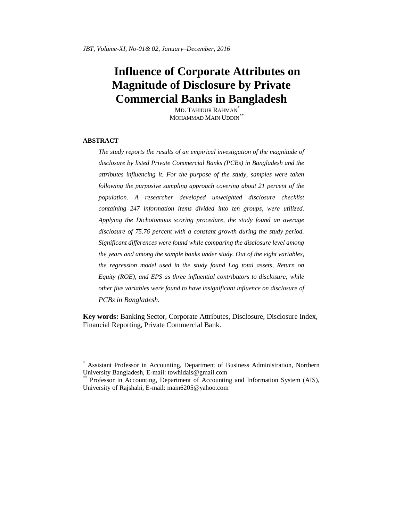# **Influence of Corporate Attributes on Magnitude of Disclosure by Private Commercial Banks in Bangladesh**

MD. TAHIDUR RAHMAN\* MOHAMMAD MAIN UDDIN<sup>\*</sup>

#### **ABSTRACT**

 $\overline{a}$ 

*The study reports the results of an empirical investigation of the magnitude of disclosure by listed Private Commercial Banks (PCBs) in Bangladesh and the attributes influencing it. For the purpose of the study, samples were taken following the purposive sampling approach covering about 21 percent of the population. A researcher developed unweighted disclosure checklist containing 247 information items divided into ten groups, were utilized. Applying the Dichotomous scoring procedure, the study found an average disclosure of 75.76 percent with a constant growth during the study period. Significant differences were found while comparing the disclosure level among the years and among the sample banks under study. Out of the eight variables, the regression model used in the study found Log total assets, Return on Equity (ROE), and EPS as three influential contributors to disclosure; while other five variables were found to have insignificant influence on disclosure of PCBs in Bangladesh.* 

**Key words:** Banking Sector, Corporate Attributes, Disclosure, Disclosure Index, Financial Reporting, Private Commercial Bank.

<sup>\*</sup> Assistant Professor in Accounting, Department of Business Administration, Northern University Bangladesh, E-mail: [towhidais@gmail.com](mailto:towhidais@gmail.com)

Professor in Accounting, Department of Accounting and Information System (AIS), University of Rajshahi, E-mail: [main6205@yahoo.com](mailto:main6205@yahoo.com)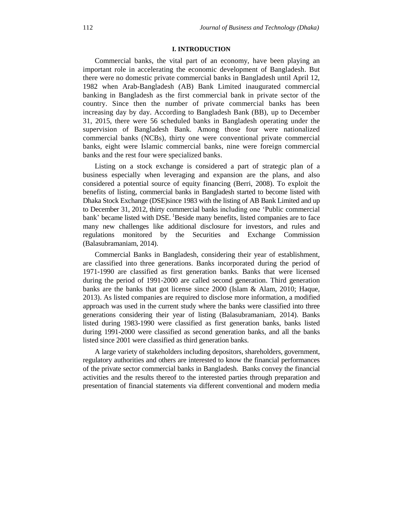# **I. INTRODUCTION**

Commercial banks, the vital part of an economy, have been playing an important role in accelerating the economic development of Bangladesh. But there were no domestic private commercial banks in Bangladesh until April 12, 1982 when Arab-Bangladesh (AB) Bank Limited inaugurated commercial banking in Bangladesh as the first commercial bank in private sector of the country. Since then the number of private commercial banks has been increasing day by day. According to Bangladesh Bank (BB), up to December 31, 2015, there were 56 scheduled banks in Bangladesh operating under the supervision of Bangladesh Bank. Among those four were nationalized commercial banks (NCBs), thirty one were conventional private commercial banks, eight were Islamic commercial banks, nine were foreign commercial banks and the rest four were specialized banks.

Listing on a stock exchange is considered a part of strategic plan of a business especially when leveraging and expansion are the plans, and also considered a potential source of equity financing (Berri, 2008). To exploit the benefits of listing, commercial banks in Bangladesh started to become listed with Dhaka Stock Exchange (DSE)since 1983 with the listing of AB Bank Limited and up to December 31, 2012, thirty commercial banks including one "Public commercial bank' became listed with DSE. <sup>1</sup>Beside many benefits, listed companies are to face many new challenges like additional disclosure for investors, and rules and regulations monitored by the Securities and Exchange Commission (Balasubramaniam, 2014).

Commercial Banks in Bangladesh, considering their year of establishment, are classified into three generations. Banks incorporated during the period of 1971-1990 are classified as first generation banks. Banks that were licensed during the period of 1991-2000 are called second generation. Third generation banks are the banks that got license since 2000 (Islam & Alam, 2010; Haque, 2013). As listed companies are required to disclose more information, a modified approach was used in the current study where the banks were classified into three generations considering their year of listing (Balasubramaniam, 2014). Banks listed during 1983-1990 were classified as first generation banks, banks listed during 1991-2000 were classified as second generation banks, and all the banks listed since 2001 were classified as third generation banks.

A large variety of stakeholders including depositors, shareholders, government, regulatory authorities and others are interested to know the financial performances of the private sector commercial banks in Bangladesh. Banks convey the financial activities and the results thereof to the interested parties through preparation and presentation of financial statements via different conventional and modern media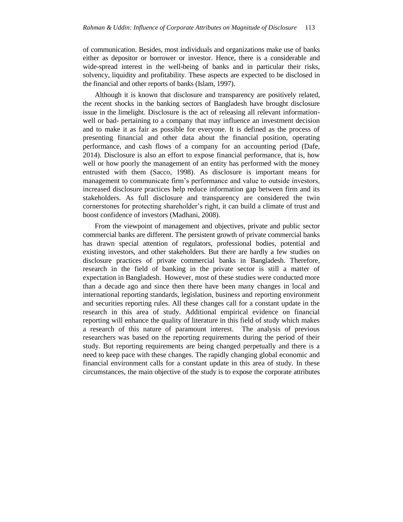of communication. Besides, most individuals and organizations make use of banks either as depositor or borrower or investor. Hence, there is a considerable and wide-spread interest in the well-being of banks and in particular their risks, solvency, liquidity and profitability. These aspects are expected to be disclosed in the financial and other reports of banks (Islam, 1997).

Although it is known that disclosure and transparency are positively related, the recent shocks in the banking sectors of Bangladesh have brought disclosure issue in the limelight. Disclosure is the act of releasing all relevant informationwell or bad- pertaining to a company that may influence an investment decision and to make it as fair as possible for everyone. It is defined as the process of presenting financial and other data about the financial position, operating performance, and cash flows of a company for an accounting period (Dafe, 2014). Disclosure is also an effort to expose financial performance, that is, how well or how poorly the management of an entity has performed with the money entrusted with them (Sacco, 1998). As disclosure is important means for management to communicate firm's performance and value to outside investors, increased disclosure practices help reduce information gap between firm and its stakeholders. As full disclosure and transparency are considered the twin cornerstones for protecting shareholder"s right, it can build a climate of trust and boost confidence of investors (Madhani, 2008).

From the viewpoint of management and objectives, private and public sector commercial banks are different. The persistent growth of private commercial banks has drawn special attention of regulators, professional bodies, potential and existing investors, and other stakeholders. But there are hardly a few studies on disclosure practices of private commercial banks in Bangladesh. Therefore, research in the field of banking in the private sector is still a matter of expectation in Bangladesh. However, most of these studies were conducted more than a decade ago and since then there have been many changes in local and international reporting standards, legislation, business and reporting environment and securities reporting rules. All these changes call for a constant update in the research in this area of study. Additional empirical evidence on financial reporting will enhance the quality of literature in this field of study which makes a research of this nature of paramount interest. The analysis of previous researchers was based on the reporting requirements during the period of their study. But reporting requirements are being changed perpetually and there is a need to keep pace with these changes. The rapidly changing global economic and financial environment calls for a constant update in this area of study. In these circumstances, the main objective of the study is to expose the corporate attributes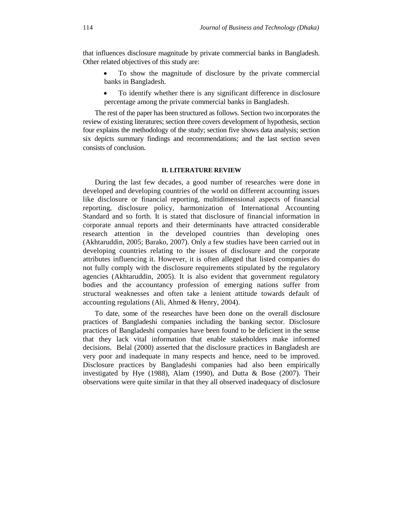that influences disclosure magnitude by private commercial banks in Bangladesh. Other related objectives of this study are:

- To show the magnitude of disclosure by the private commercial banks in Bangladesh.
- To identify whether there is any significant difference in disclosure percentage among the private commercial banks in Bangladesh.

The rest of the paper has been structured as follows. Section two incorporates the review of existing literatures; section three covers development of hypothesis, section four explains the methodology of the study; section five shows data analysis; section six depicts summary findings and recommendations; and the last section seven consists of conclusion.

# **II. LITERATURE REVIEW**

During the last few decades, a good number of researches were done in developed and developing countries of the world on different accounting issues like disclosure or financial reporting, multidimensional aspects of financial reporting, disclosure policy, harmonization of International Accounting Standard and so forth. It is stated that disclosure of financial information in corporate annual reports and their determinants have attracted considerable research attention in the developed countries than developing ones (Akhtaruddin, 2005; Barako, 2007). Only a few studies have been carried out in developing countries relating to the issues of disclosure and the corporate attributes influencing it. However, it is often alleged that listed companies do not fully comply with the disclosure requirements stipulated by the regulatory agencies (Akhtaruddin, 2005). It is also evident that government regulatory bodies and the accountancy profession of emerging nations suffer from structural weaknesses and often take a lenient attitude towards default of accounting regulations (Ali, Ahmed & Henry, 2004).

To date, some of the researches have been done on the overall disclosure practices of Bangladeshi companies including the banking sector. Disclosure practices of Bangladeshi companies have been found to be deficient in the sense that they lack vital information that enable stakeholders make informed decisions. Belal (2000) asserted that the disclosure practices in Bangladesh are very poor and inadequate in many respects and hence, need to be improved. Disclosure practices by Bangladeshi companies had also been empirically investigated by Hye (1988), Alam (1990), and Dutta & Bose (2007). Their observations were quite similar in that they all observed inadequacy of disclosure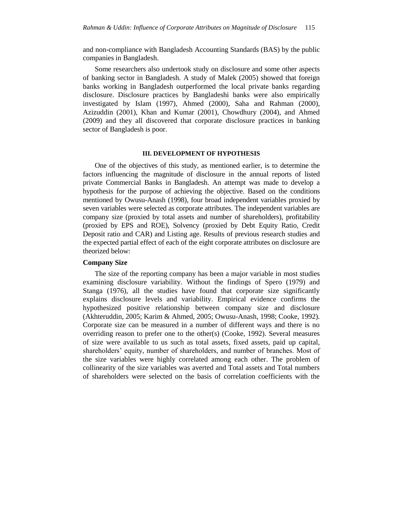and non-compliance with Bangladesh Accounting Standards (BAS) by the public companies in Bangladesh.

Some researchers also undertook study on disclosure and some other aspects of banking sector in Bangladesh. A study of Malek (2005) showed that foreign banks working in Bangladesh outperformed the local private banks regarding disclosure. Disclosure practices by Bangladeshi banks were also empirically investigated by Islam (1997), Ahmed (2000), Saha and Rahman (2000), Azizuddin (2001), Khan and Kumar (2001), Chowdhury (2004), and Ahmed (2009) and they all discovered that corporate disclosure practices in banking sector of Bangladesh is poor.

#### **III. DEVELOPMENT OF HYPOTHESIS**

One of the objectives of this study, as mentioned earlier, is to determine the factors influencing the magnitude of disclosure in the annual reports of listed private Commercial Banks in Bangladesh. An attempt was made to develop a hypothesis for the purpose of achieving the objective. Based on the conditions mentioned by Owusu-Anash (1998), four broad independent variables proxied by seven variables were selected as corporate attributes. The independent variables are company size (proxied by total assets and number of shareholders), profitability (proxied by EPS and ROE), Solvency (proxied by Debt Equity Ratio, Credit Deposit ratio and CAR) and Listing age. Results of previous research studies and the expected partial effect of each of the eight corporate attributes on disclosure are theorized below:

#### **Company Size**

The size of the reporting company has been a major variable in most studies examining disclosure variability. Without the findings of Spero (1979) and Stanga (1976), all the studies have found that corporate size significantly explains disclosure levels and variability. Empirical evidence confirms the hypothesized positive relationship between company size and disclosure (Akhteruddin, 2005; Karim & Ahmed, 2005; Owusu-Anash, 1998; Cooke, 1992). Corporate size can be measured in a number of different ways and there is no overriding reason to prefer one to the other(s) (Cooke, 1992). Several measures of size were available to us such as total assets, fixed assets, paid up capital, shareholders' equity, number of shareholders, and number of branches. Most of the size variables were highly correlated among each other. The problem of collinearity of the size variables was averted and Total assets and Total numbers of shareholders were selected on the basis of correlation coefficients with the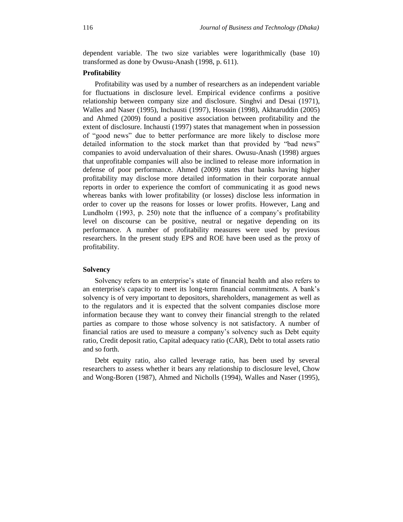dependent variable. The two size variables were logarithmically (base 10) transformed as done by Owusu-Anash (1998, p. 611).

## **Profitability**

Profitability was used by a number of researchers as an independent variable for fluctuations in disclosure level. Empirical evidence confirms a positive relationship between company size and disclosure. Singhvi and Desai (1971), Walles and Naser (1995), Inchausti (1997), Hossain (1998), Akhtaruddin (2005) and Ahmed (2009) found a positive association between profitability and the extent of disclosure. Inchausti (1997) states that management when in possession of "good news" due to better performance are more likely to disclose more detailed information to the stock market than that provided by "bad news" companies to avoid undervaluation of their shares. Owusu-Anash (1998) argues that unprofitable companies will also be inclined to release more information in defense of poor performance. Ahmed (2009) states that banks having higher profitability may disclose more detailed information in their corporate annual reports in order to experience the comfort of communicating it as good news whereas banks with lower profitability (or losses) disclose less information in order to cover up the reasons for losses or lower profits. However, Lang and Lundholm (1993, p. 250) note that the influence of a company's profitability level on discourse can be positive, neutral or negative depending on its performance. A number of profitability measures were used by previous researchers. In the present study EPS and ROE have been used as the proxy of profitability.

#### **Solvency**

Solvency refers to an enterprise"s state of financial health and also refers to an enterprise's capacity to meet its long-term financial commitments. A bank"s solvency is of very important to depositors, shareholders, management as well as to the regulators and it is expected that the solvent companies disclose more information because they want to convey their financial strength to the related parties as compare to those whose solvency is not satisfactory. A number of financial ratios are used to measure a company"s solvency such as Debt equity ratio, Credit deposit ratio, Capital adequacy ratio (CAR), Debt to total assets ratio and so forth.

Debt equity ratio, also called leverage ratio, has been used by several researchers to assess whether it bears any relationship to disclosure level, Chow and Wong-Boren (1987), Ahmed and Nicholls (1994), Walles and Naser (1995),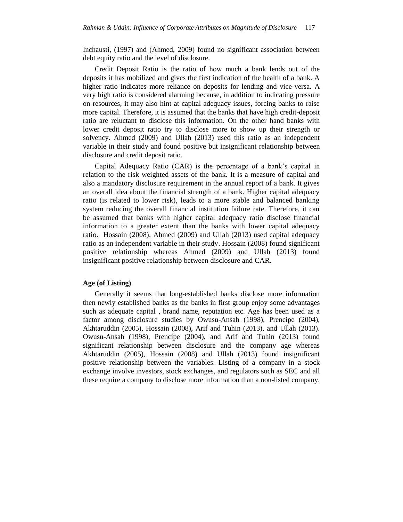Inchausti, (1997) and (Ahmed, 2009) found no significant association between debt equity ratio and the level of disclosure.

Credit Deposit Ratio is the ratio of how much a bank lends out of the deposits it has mobilized and gives the first indication of the health of a bank. A higher ratio indicates more reliance on deposits for lending and vice-versa. A very high ratio is considered alarming because, in addition to indicating pressure on resources, it may also hint at capital adequacy issues, forcing banks to raise more capital. Therefore, it is assumed that the banks that have high credit-deposit ratio are reluctant to disclose this information. On the other hand banks with lower credit deposit ratio try to disclose more to show up their strength or solvency. Ahmed (2009) and Ullah (2013) used this ratio as an independent variable in their study and found positive but insignificant relationship between disclosure and credit deposit ratio.

Capital Adequacy Ratio (CAR) is the percentage of a bank"s capital in relation to the risk weighted assets of the bank. It is a measure of capital and also a mandatory disclosure requirement in the annual report of a bank. It gives an overall idea about the financial strength of a bank. Higher capital adequacy ratio (is related to lower risk), leads to a more stable and balanced banking system reducing the overall financial institution failure rate. Therefore, it can be assumed that banks with higher capital adequacy ratio disclose financial information to a greater extent than the banks with lower capital adequacy ratio. Hossain (2008), Ahmed (2009) and Ullah (2013) used capital adequacy ratio as an independent variable in their study. Hossain (2008) found significant positive relationship whereas Ahmed (2009) and Ullah (2013) found insignificant positive relationship between disclosure and CAR.

# **Age (of Listing)**

Generally it seems that long-established banks disclose more information then newly established banks as the banks in first group enjoy some advantages such as adequate capital , brand name, reputation etc. Age has been used as a factor among disclosure studies by Owusu-Ansah (1998), Prencipe (2004), Akhtaruddin (2005), Hossain (2008), Arif and Tuhin (2013), and Ullah (2013). Owusu-Ansah (1998), Prencipe (2004), and Arif and Tuhin (2013) found significant relationship between disclosure and the company age whereas Akhtaruddin (2005), Hossain (2008) and Ullah (2013) found insignificant positive relationship between the variables. Listing of a company in a stock exchange involve investors, stock exchanges, and regulators such as SEC and all these require a company to disclose more information than a non-listed company.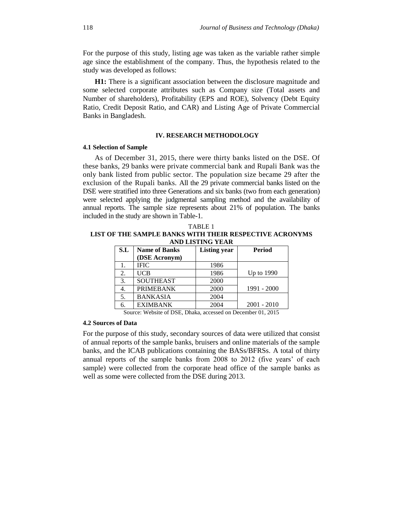For the purpose of this study, listing age was taken as the variable rather simple age since the establishment of the company. Thus, the hypothesis related to the study was developed as follows:

**H1:** There is a significant association between the disclosure magnitude and some selected corporate attributes such as Company size (Total assets and Number of shareholders), Profitability (EPS and ROE), Solvency (Debt Equity Ratio, Credit Deposit Ratio, and CAR) and Listing Age of Private Commercial Banks in Bangladesh.

#### **IV. RESEARCH METHODOLOGY**

#### **4.1 Selection of Sample**

As of December 31, 2015, there were thirty banks listed on the DSE. Of these banks, 29 banks were private commercial bank and Rupali Bank was the only bank listed from public sector. The population size became 29 after the exclusion of the Rupali banks. All the 29 private commercial banks listed on the DSE were stratified into three Generations and six banks (two from each generation) were selected applying the judgmental sampling method and the availability of annual reports. The sample size represents about 21% of population. The banks included in the study are shown in Table-1.

TABLE 1

| LIST OF THE SAMPLE BANKS WITH THEIR RESPECTIVE ACRONYMS<br><b>AND LISTING YEAR</b> |                      |                     |               |  |  |  |  |  |
|------------------------------------------------------------------------------------|----------------------|---------------------|---------------|--|--|--|--|--|
|                                                                                    |                      |                     |               |  |  |  |  |  |
| S.L                                                                                | <b>Name of Banks</b> | <b>Listing year</b> | <b>Period</b> |  |  |  |  |  |
|                                                                                    | (DSE Acronym)        |                     |               |  |  |  |  |  |
|                                                                                    | <b>IFIC</b>          | 1986                |               |  |  |  |  |  |
| 2.                                                                                 | <b>UCB</b>           | 1986                | Up to 1990    |  |  |  |  |  |
| 3.                                                                                 | <b>SOUTHEAST</b>     | 2000                |               |  |  |  |  |  |
| 4.                                                                                 | <b>PRIMEBANK</b>     | 2000                | 1991 - 2000   |  |  |  |  |  |
| 5.                                                                                 | <b>BANKASIA</b>      | 2004                |               |  |  |  |  |  |
| 6.                                                                                 | <b>EXIMBANK</b>      | 2004                | $2001 - 2010$ |  |  |  |  |  |

Source: Website of DSE, Dhaka, accessed on December 01, 2015

# **4.2 Sources of Data**

For the purpose of this study, secondary sources of data were utilized that consist of annual reports of the sample banks, bruisers and online materials of the sample banks, and the ICAB publications containing the BASs/BFRSs. A total of thirty annual reports of the sample banks from 2008 to 2012 (five years' of each sample) were collected from the corporate head office of the sample banks as well as some were collected from the DSE during 2013.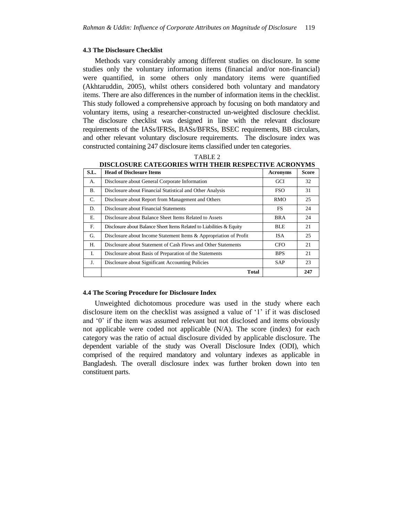#### **4.3 The Disclosure Checklist**

Methods vary considerably among different studies on disclosure. In some studies only the voluntary information items (financial and/or non-financial) were quantified, in some others only mandatory items were quantified (Akhtaruddin, 2005), whilst others considered both voluntary and mandatory items. There are also differences in the number of information items in the checklist. This study followed a comprehensive approach by focusing on both mandatory and voluntary items, using a researcher-constructed un-weighted disclosure checklist. The disclosure checklist was designed in line with the relevant disclosure requirements of the IASs/IFRSs, BASs/BFRSs, BSEC requirements, BB circulars, and other relevant voluntary disclosure requirements. The disclosure index was constructed containing 247 disclosure items classified under ten categories.

|  |  | `ABL |  |  |
|--|--|------|--|--|
|--|--|------|--|--|

| S.L.        | <b>Head of Disclosure Items</b>                                      | <b>Acronyms</b> | <b>Score</b> |
|-------------|----------------------------------------------------------------------|-----------------|--------------|
| А.          | Disclosure about General Corporate Information                       | <b>GCI</b>      | 32           |
| <b>B.</b>   | Disclosure about Financial Statistical and Other Analysis            | <b>FSO</b>      | 31           |
| C.          | Disclosure about Report from Management and Others                   | <b>RMO</b>      | 25           |
| D.          | Disclosure about Financial Statements                                | FS              | 24           |
| Е.          | Disclosure about Balance Sheet Items Related to Assets               | <b>BRA</b>      | 24           |
| $F_{\cdot}$ | Disclosure about Balance Sheet Items Related to Liabilities & Equity | BLE             | 21           |
| G.          | Disclosure about Income Statement Items & Appropriation of Profit    | <b>ISA</b>      | 25           |
| Н.          | Disclosure about Statement of Cash Flows and Other Statements        | <b>CFO</b>      | 21           |
| I.          | Disclosure about Basis of Preparation of the Statements              | <b>BPS</b>      | 21           |
| J.          | Disclosure about Significant Accounting Policies                     | <b>SAP</b>      | 23           |
|             | <b>Total</b>                                                         |                 | 247          |

**DISCLOSURE CATEGORIES WITH THEIR RESPECTIVE ACRONYMS**

## **4.4 The Scoring Procedure for Disclosure Index**

Unweighted dichotomous procedure was used in the study where each disclosure item on the checklist was assigned a value of "1" if it was disclosed and '0' if the item was assumed relevant but not disclosed and items obviously not applicable were coded not applicable (N/A). The score (index) for each category was the ratio of actual disclosure divided by applicable disclosure. The dependent variable of the study was Overall Disclosure Index (ODI), which comprised of the required mandatory and voluntary indexes as applicable in Bangladesh. The overall disclosure index was further broken down into ten constituent parts.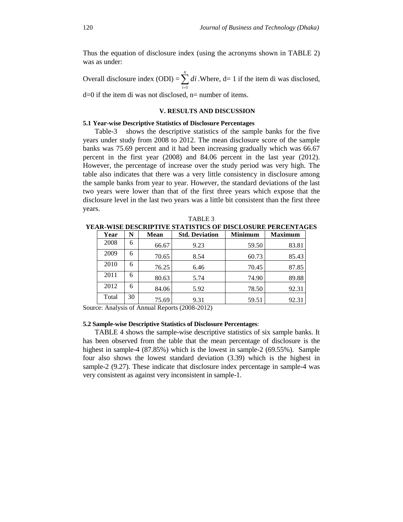Thus the equation of disclosure index (using the acronyms shown in TABLE 2) was as under:

Overall disclosure index  $(ODI) = \sum_{i=1}^{n}$ *i di* 1 .Where, d= 1 if the item di was disclosed,

d=0 if the item di was not disclosed, n= number of items.

#### **V. RESULTS AND DISCUSSION**

#### **5.1 Year-wise Descriptive Statistics of Disclosure Percentages**

Table-3 shows the descriptive statistics of the sample banks for the five years under study from 2008 to 2012. The mean disclosure score of the sample banks was 75.69 percent and it had been increasing gradually which was 66.67 percent in the first year (2008) and 84.06 percent in the last year (2012). However, the percentage of increase over the study period was very high. The table also indicates that there was a very little consistency in disclosure among the sample banks from year to year. However, the standard deviations of the last two years were lower than that of the first three years which expose that the disclosure level in the last two years was a little bit consistent than the first three years.

| Year  | N  | <b>Mean</b> | <b>Std. Deviation</b> | <b>Minimum</b> | <b>Maximum</b> |
|-------|----|-------------|-----------------------|----------------|----------------|
| 2008  | 6  | 66.67       | 9.23                  | 59.50          | 83.81          |
| 2009  | 6  | 70.65       | 8.54                  | 60.73          | 85.43          |
| 2010  | 6  | 76.25       | 6.46                  | 70.45          | 87.85          |
| 2011  | 6  | 80.63       | 5.74                  | 74.90          | 89.88          |
| 2012  | 6  | 84.06       | 5.92                  | 78.50          | 92.31          |
| Total | 30 | 75.69       | 9.31                  | 59.51          | 92.31          |

**YEAR-WISE DESCRIPTIVE STATISTICS OF DISCLOSURE PERCENTAGES**

Source: Analysis of Annual Reports (2008-2012)

#### **5.2 Sample-wise Descriptive Statistics of Disclosure Percentages**:

TABLE 4 shows the sample-wise descriptive statistics of six sample banks. It has been observed from the table that the mean percentage of disclosure is the highest in sample-4 (87.85%) which is the lowest in sample-2 (69.55%). Sample four also shows the lowest standard deviation (3.39) which is the highest in sample-2 (9.27). These indicate that disclosure index percentage in sample-4 was very consistent as against very inconsistent in sample-1.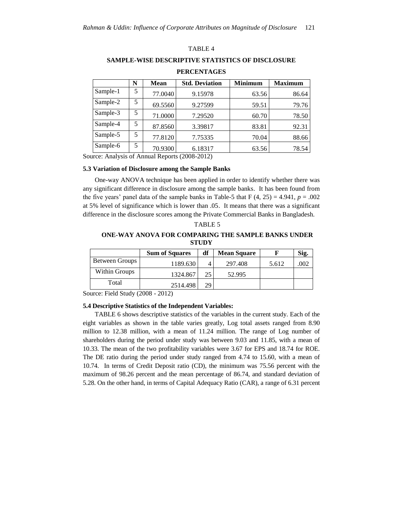#### TABLE 4

**SAMPLE-WISE DESCRIPTIVE STATISTICS OF DISCLOSURE** 

|          | N | <b>Mean</b> | <b>Std. Deviation</b> | <b>Minimum</b> | <b>Maximum</b> |
|----------|---|-------------|-----------------------|----------------|----------------|
| Sample-1 | 5 | 77.0040     | 9.15978               | 63.56          | 86.64          |
| Sample-2 | 5 | 69.5560     | 9.27599               | 59.51          | 79.76          |
| Sample-3 | 5 | 71.0000     | 7.29520               | 60.70          | 78.50          |
| Sample-4 | 5 | 87.8560     | 3.39817               | 83.81          | 92.31          |
| Sample-5 | 5 | 77.8120     | 7.75335               | 70.04          | 88.66          |
| Sample-6 | 5 | 70.9300     | 6.18317               | 63.56          | 78.54          |

#### **PERCENTAGES**

Source: Analysis of Annual Reports (2008-2012)

#### **5.3 Variation of Disclosure among the Sample Banks**

One-way ANOVA technique has been applied in order to identify whether there was any significant difference in disclosure among the sample banks. It has been found from the five years' panel data of the sample banks in Table-5 that  $F(4, 25) = 4.941$ ,  $p = .002$ at 5% level of significance which is lower than .05. It means that there was a significant difference in the disclosure scores among the Private Commercial Banks in Bangladesh.

| TABLE 5                                                   |
|-----------------------------------------------------------|
| <b>ONE-WAY ANOVA FOR COMPARING THE SAMPLE BANKS UNDER</b> |
| <b>STUDY</b>                                              |

|                | <b>Sum of Squares</b> | df | <b>Mean Square</b> |       | Sig. |
|----------------|-----------------------|----|--------------------|-------|------|
| Between Groups | 1189.630              |    | 297.408            | 5.612 | .002 |
| Within Groups  | 1324.867              | 25 | 52.995             |       |      |
| Total          | 2514.498              | 29 |                    |       |      |

Source: Field Study (2008 - 2012)

#### **5.4 Descriptive Statistics of the Independent Variables:**

TABLE 6 shows descriptive statistics of the variables in the current study. Each of the eight variables as shown in the table varies greatly, Log total assets ranged from 8.90 million to 12.38 million, with a mean of 11.24 million. The range of Log number of shareholders during the period under study was between 9.03 and 11.85, with a mean of 10.33. The mean of the two profitability variables were 3.67 for EPS and 18.74 for ROE. The DE ratio during the period under study ranged from 4.74 to 15.60, with a mean of 10.74. In terms of Credit Deposit ratio (CD), the minimum was 75.56 percent with the maximum of 98.26 percent and the mean percentage of 86.74, and standard deviation of 5.28. On the other hand, in terms of Capital Adequacy Ratio (CAR), a range of 6.31 percent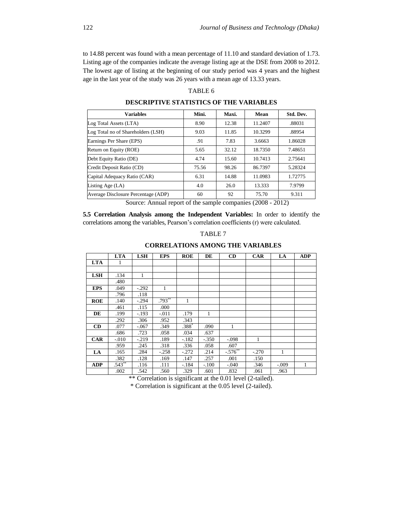to 14.88 percent was found with a mean percentage of 11.10 and standard deviation of 1.73. Listing age of the companies indicate the average listing age at the DSE from 2008 to 2012. The lowest age of listing at the beginning of our study period was 4 years and the highest age in the last year of the study was 26 years with a mean age of 13.33 years.

# TABLE 6

**DESCRIPTIVE STATISTICS OF THE VARIABLES**

| <b>Variables</b>                    | Mini.         | Maxi. | Mean                   | Std. Dev. |
|-------------------------------------|---------------|-------|------------------------|-----------|
| Log Total Assets (LTA)              | 8.90          | 12.38 | 11.2407                | .88031    |
| Log Total no of Shareholders (LSH)  | 9.03          | 11.85 | 10.3299                | .88954    |
| Earnings Per Share (EPS)            | .91           | 7.83  | 3.6663                 | 1.86028   |
| Return on Equity (ROE)              | 5.65          | 32.12 | 18.7350                | 7.48651   |
| Debt Equity Ratio (DE)              | 4.74          | 15.60 | 10.7413                | 2.75641   |
| Credit Deposit Ratio (CD)           | 75.56         | 98.26 | 86.7397                | 5.28324   |
| Capital Adequacy Ratio (CAR)        | 6.31          | 14.88 | 11.0983                | 1.72775   |
| Listing Age (LA)                    | 4.0           | 26.0  | 13.333                 | 7.9799    |
| Average Disclosure Percentage (ADP) | 60            | 92    | 75.70                  | 9.311     |
|                                     | $\sim$ $\sim$ |       | $(0.000 \times 0.000)$ |           |

Source: Annual report of the sample companies (2008 - 2012)

**5.5 Correlation Analysis among the Independent Variables:** In order to identify the correlations among the variables, Pearson"s correlation coefficients (r) were calculated.

|  |  | n |  |  |
|--|--|---|--|--|
|--|--|---|--|--|

|            | <b>LTA</b> | <b>LSH</b> | <b>EPS</b> | <b>ROE</b> | DE      | CD          | <b>CAR</b> | LA           | <b>ADP</b> |
|------------|------------|------------|------------|------------|---------|-------------|------------|--------------|------------|
| <b>LTA</b> | 1          |            |            |            |         |             |            |              |            |
|            |            |            |            |            |         |             |            |              |            |
| <b>LSH</b> | .134       | 1          |            |            |         |             |            |              |            |
|            | .480       |            |            |            |         |             |            |              |            |
| <b>EPS</b> | .049       | $-.292$    | 1          |            |         |             |            |              |            |
|            | .796       | .118       |            |            |         |             |            |              |            |
| <b>ROE</b> | .140       | $-.294$    | $.793***$  | 1          |         |             |            |              |            |
|            | .461       | .115       | .000       |            |         |             |            |              |            |
| DE         | .199       | $-193$     | $-.011$    | .179       | 1       |             |            |              |            |
|            | .292       | .306       | .952       | .343       |         |             |            |              |            |
| CD         | .077       | $-.067$    | .349       | .388       | .090    | 1           |            |              |            |
|            | .686       | .723       | .058       | .034       | .637    |             |            |              |            |
| <b>CAR</b> | $-.010$    | $-.219$    | .189       | $-.182$    | $-.350$ | $-.098$     | 1          |              |            |
|            | .959       | .245       | .318       | .336       | .058    | .607        |            |              |            |
| LA         | .165       | .284       | $-.258$    | $-.272$    | .214    | $-576^{**}$ | $-.270$    | $\mathbf{1}$ |            |
|            | .382       | .128       | .169       | .147       | .257    | .001        | .150       |              |            |
| <b>ADP</b> | $.543**$   | .116       | .111       | $-.184$    | $-.100$ | $-.040$     | .346       | $-.009$      | 1          |
|            | .002       | .542       | .560       | .329       | .601    | .832        | .061       | .963         |            |

\*\* Correlation is significant at the 0.01 level (2-tailed).

\* Correlation is significant at the 0.05 level (2-tailed).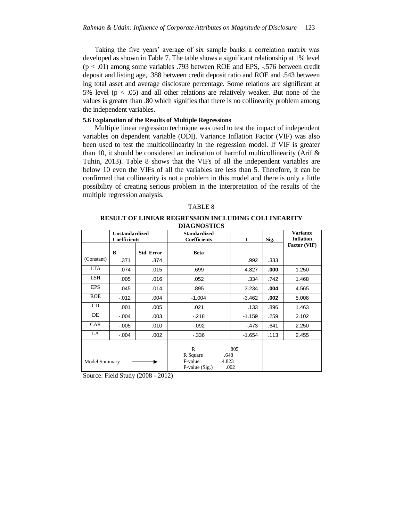Taking the five years' average of six sample banks a correlation matrix was developed as shown in Table 7. The table shows a significant relationship at 1% level (p < .01) among some variables .793 between ROE and EPS, -.576 between credit deposit and listing age, .388 between credit deposit ratio and ROE and .543 between log total asset and average disclosure percentage. Some relations are significant at 5% level ( $p < .05$ ) and all other relations are relatively weaker. But none of the values is greater than .80 which signifies that there is no collinearity problem among the independent variables.

## **5.6 Explanation of the Results of Multiple Regressions**

Multiple linear regression technique was used to test the impact of independent variables on dependent variable (ODI). Variance Inflation Factor (VIF) was also been used to test the multicollinearity in the regression model. If VIF is greater than 10, it should be considered an indication of harmful multicollinearity (Arif  $\&$ Tuhin, 2013). Table 8 shows that the VIFs of all the independent variables are below 10 even the VIFs of all the variables are less than 5. Therefore, it can be confirmed that collinearity is not a problem in this model and there is only a little possibility of creating serious problem in the interpretation of the results of the multiple regression analysis.

# TABLE 8

#### **RESULT OF LINEAR REGRESSION INCLUDING COLLINEARITY DIAGNOSTICS**

|                      | <b>Unstandardized</b><br><b>Coefficients</b> |                   | <b>Standardized</b><br>Coefficients                    | t                             | Sig. | <b>Variance</b><br><b>Inflation</b> |
|----------------------|----------------------------------------------|-------------------|--------------------------------------------------------|-------------------------------|------|-------------------------------------|
|                      | B                                            | <b>Std. Error</b> | <b>Beta</b>                                            |                               |      | Factor (VIF)                        |
| (Constant)           | .371                                         | .374              |                                                        | .992                          | .333 |                                     |
| LTA                  | .074                                         | .015              | .699                                                   | 4.827                         | .000 | 1.250                               |
| <b>LSH</b>           | .005                                         | .016              | .052                                                   | .334                          | .742 | 1.468                               |
| <b>EPS</b>           | .045                                         | .014              | .895                                                   | 3.234                         | .004 | 4.565                               |
| <b>ROE</b>           | $-012$                                       | .004              | $-1.004$                                               | $-3.462$                      | .002 | 5.008                               |
| CD.                  | .001                                         | .005              | .021                                                   | .133                          | .896 | 1.463                               |
| DE                   | $-.004$                                      | .003              | $-.218$                                                | $-1.159$                      | .259 | 2.102                               |
| <b>CAR</b>           | $-.005$                                      | .010              | $-0.92$                                                | $-473$                        | .641 | 2.250                               |
| LA                   | $-.004$                                      | .002              | $-336$                                                 | $-1.654$                      | .113 | 2.455                               |
| <b>Model Summary</b> |                                              |                   | $\mathbf{R}$<br>R Square<br>F-value<br>$P-value(Sig.)$ | .805<br>.648<br>4.823<br>.002 |      |                                     |

Source: Field Study (2008 - 2012)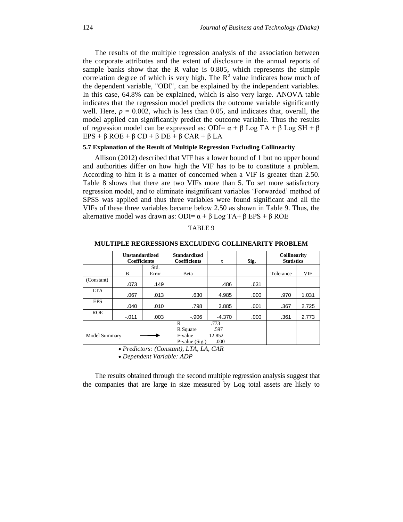The results of the multiple regression analysis of the association between the corporate attributes and the extent of disclosure in the annual reports of sample banks show that the R value is 0.805, which represents the simple correlation degree of which is very high. The  $R^2$  value indicates how much of the dependent variable, "ODI", can be explained by the independent variables. In this case, 64.8% can be explained, which is also very large. ANOVA table indicates that the regression model predicts the outcome variable significantly well. Here,  $p = 0.002$ , which is less than 0.05, and indicates that, overall, the model applied can significantly predict the outcome variable. Thus the results of regression model can be expressed as: ODI=  $\alpha + \beta$  Log TA +  $\beta$  Log SH +  $\beta$ EPS + β ROE + β CD + β DE + β CAR + β LA

#### **5.7 Explanation of the Result of Multiple Regression Excluding Collinearity**

Allison (2012) described that VIF has a lower bound of 1 but no upper bound and authorities differ on how high the VIF has to be to constitute a problem. According to him it is a matter of concerned when a VIF is greater than 2.50. Table 8 shows that there are two VIFs more than 5. To set more satisfactory regression model, and to eliminate insignificant variables "Forwarded" method of SPSS was applied and thus three variables were found significant and all the VIFs of these three variables became below 2.50 as shown in Table 9. Thus, the alternative model was drawn as: ODI=  $\alpha + \beta$  Log TA+  $\beta$  EPS +  $\beta$  ROE

| 'ABLE<br>∽ |  |
|------------|--|
|            |  |

|               | <b>Unstandardized</b><br><b>Coefficients</b> |               | <b>Standardized</b><br><b>Coefficients</b>  | t                              | Sig. | <b>Collinearity</b><br><b>Statistics</b> |       |
|---------------|----------------------------------------------|---------------|---------------------------------------------|--------------------------------|------|------------------------------------------|-------|
|               | B                                            | Std.<br>Error | Beta                                        |                                |      | Tolerance                                | VIF   |
| (Constant)    | .073                                         | .149          |                                             | .486                           | .631 |                                          |       |
| <b>LTA</b>    | .067                                         | .013          | .630                                        | 4.985                          | .000 | .970                                     | 1.031 |
| <b>EPS</b>    | .040                                         | .010          | .798                                        | 3.885                          | .001 | .367                                     | 2.725 |
| <b>ROE</b>    | $-.011$                                      | .003          | $-.906$                                     | $-4.370$                       | .000 | .361                                     | 2.773 |
| Model Summary |                                              |               | R<br>R Square<br>F-value<br>$P-value(Sig.)$ | .773<br>.597<br>12.852<br>.000 |      |                                          |       |

**MULTIPLE REGRESSIONS EXCLUDING COLLINEARITY PROBLEM**

*Predictors: (Constant), LTA, LA, CAR*

*Dependent Variable: ADP*

The results obtained through the second multiple regression analysis suggest that the companies that are large in size measured by Log total assets are likely to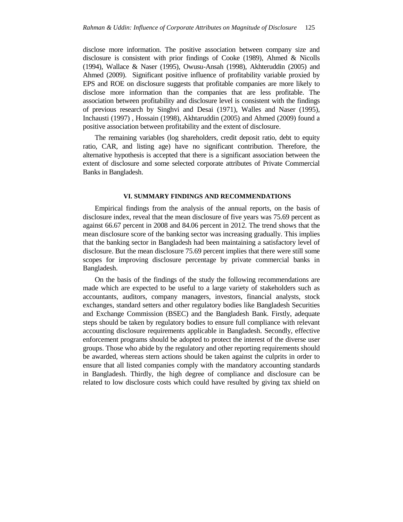disclose more information. The positive association between company size and disclosure is consistent with prior findings of Cooke (1989), Ahmed & Nicolls (1994), Wallace & Naser (1995), Owusu-Ansah (1998), Akhteruddin (2005) and Ahmed (2009). Significant positive influence of profitability variable proxied by EPS and ROE on disclosure suggests that profitable companies are more likely to disclose more information than the companies that are less profitable. The association between profitability and disclosure level is consistent with the findings of previous research by Singhvi and Desai (1971), Walles and Naser (1995), Inchausti (1997) , Hossain (1998), Akhtaruddin (2005) and Ahmed (2009) found a positive association between profitability and the extent of disclosure.

The remaining variables (log shareholders, credit deposit ratio, debt to equity ratio, CAR, and listing age) have no significant contribution. Therefore, the alternative hypothesis is accepted that there is a significant association between the extent of disclosure and some selected corporate attributes of Private Commercial Banks in Bangladesh.

#### **VI. SUMMARY FINDINGS AND RECOMMENDATIONS**

Empirical findings from the analysis of the annual reports, on the basis of disclosure index, reveal that the mean disclosure of five years was 75.69 percent as against 66.67 percent in 2008 and 84.06 percent in 2012. The trend shows that the mean disclosure score of the banking sector was increasing gradually. This implies that the banking sector in Bangladesh had been maintaining a satisfactory level of disclosure. But the mean disclosure 75.69 percent implies that there were still some scopes for improving disclosure percentage by private commercial banks in Bangladesh.

On the basis of the findings of the study the following recommendations are made which are expected to be useful to a large variety of stakeholders such as accountants, auditors, company managers, investors, financial analysts, stock exchanges, standard setters and other regulatory bodies like Bangladesh Securities and Exchange Commission (BSEC) and the Bangladesh Bank. Firstly, adequate steps should be taken by regulatory bodies to ensure full compliance with relevant accounting disclosure requirements applicable in Bangladesh. Secondly, effective enforcement programs should be adopted to protect the interest of the diverse user groups. Those who abide by the regulatory and other reporting requirements should be awarded, whereas stern actions should be taken against the culprits in order to ensure that all listed companies comply with the mandatory accounting standards in Bangladesh. Thirdly, the high degree of compliance and disclosure can be related to low disclosure costs which could have resulted by giving tax shield on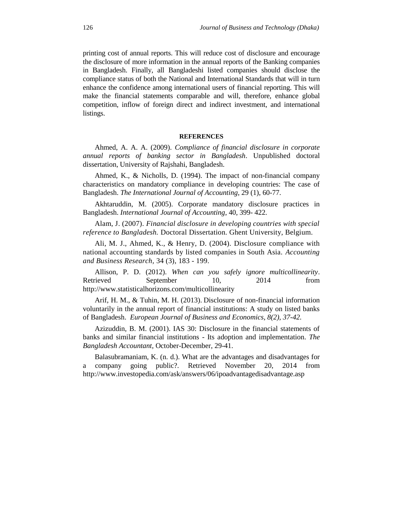printing cost of annual reports. This will reduce cost of disclosure and encourage the disclosure of more information in the annual reports of the Banking companies in Bangladesh. Finally, all Bangladeshi listed companies should disclose the compliance status of both the National and International Standards that will in turn enhance the confidence among international users of financial reporting. This will make the financial statements comparable and will, therefore, enhance global competition, inflow of foreign direct and indirect investment, and international listings.

#### **REFERENCES**

Ahmed, A. A. A. (2009). *Compliance of financial disclosure in corporate annual reports of banking sector in Bangladesh*. Unpublished doctoral dissertation, University of Rajshahi, Bangladesh.

Ahmed, K., & Nicholls, D. (1994). The impact of non-financial company characteristics on mandatory compliance in developing countries: The case of Bangladesh. *The International Journal of Accounting*, 29 (1), 60-77.

Akhtaruddin, M. (2005). Corporate mandatory disclosure practices in Bangladesh. *International Journal of Accounting*, 40, 399- 422.

Alam, J. (2007). *Financial disclosure in developing countries with special reference to Bangladesh.* Doctoral Dissertation. Ghent University, Belgium.

Ali, M. J., Ahmed, K., & Henry, D. (2004). Disclosure compliance with national accounting standards by listed companies in South Asia. *Accounting and Business Research,* 34 (3), 183 - 199.

Allison, P. D. (2012). *When can you safely ignore multicollinearity*. Retrieved September 10, 2014 from http://www.statisticalhorizons.com/multicollinearity

Arif, H. M., & Tuhin, M. H. (2013). Disclosure of non-financial information voluntarily in the annual report of financial institutions: A study on listed banks of Bangladesh. *European Journal of Business and Economics, 8(2), 37-42.*

Azizuddin, B. M. (2001). IAS 30: Disclosure in the financial statements of banks and similar financial institutions - Its adoption and implementation. *The Bangladesh Accountant*, October-December, 29-41.

Balasubramaniam, K. (n. d.). What are the advantages and disadvantages for a company going public?. Retrieved November 20, 2014 from http://www.investopedia.com/ask/answers/06/ipoadvantagedisadvantage.asp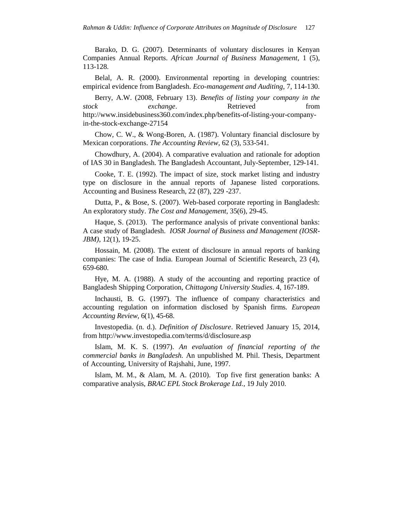Barako, D. G. (2007). Determinants of voluntary disclosures in Kenyan Companies Annual Reports. *African Journal of Business Management*, 1 (5), 113-128.

Belal, A. R. (2000). Environmental reporting in developing countries: empirical evidence from Bangladesh. *Eco-management and Auditing*, 7, 114-130.

Berry, A.W. (2008, February 13). *Benefits of listing your company in the stock exchange*. Retrieved from http://www.insidebusiness360.com/index.php/benefits-of-listing-your-companyin-the-stock-exchange-27154

Chow, C. W., & Wong-Boren, A. (1987). Voluntary financial disclosure by Mexican corporations. *The Accounting Review*, 62 (3), 533-541.

Chowdhury, A. (2004). A comparative evaluation and rationale for adoption of IAS 30 in Bangladesh. The Bangladesh Accountant, July-September, 129-141.

Cooke, T. E. (1992). The impact of size, stock market listing and industry type on disclosure in the annual reports of Japanese listed corporations. Accounting and Business Research, 22 (87), 229 -237.

Dutta, P., & Bose, S. (2007). Web-based corporate reporting in Bangladesh: An exploratory study. *The Cost and Management,* 35(6), 29-45.

Haque, S. (2013). The performance analysis of private conventional banks: A case study of Bangladesh. *IOSR Journal of Business and Management (IOSR-JBM)*, 12(1), 19-25.

Hossain, M. (2008). The extent of disclosure in annual reports of banking companies: The case of India. European Journal of Scientific Research, 23 (4), 659-680.

Hye, M. A. (1988). A study of the accounting and reporting practice of Bangladesh Shipping Corporation, *Chittagong University Studies*. 4, 167-189.

Inchausti, B. G. (1997). The influence of company characteristics and accounting regulation on information disclosed by Spanish firms. *European Accounting Review,* 6(1), 45-68.

Investopedia. (n. d.). *Definition of Disclosure*. Retrieved January 15, 2014, from<http://www.investopedia.com/terms/d/disclosure.asp>

Islam, M. K. S. (1997). *An evaluation of financial reporting of the commercial banks in Bangladesh.* An unpublished M. Phil. Thesis, Department of Accounting, University of Rajshahi, June, 1997.

Islam, M. M., & Alam, M. A. (2010). Top five first generation banks: A comparative analysis, *BRAC EPL Stock Brokerage Ltd.,* 19 July 2010.